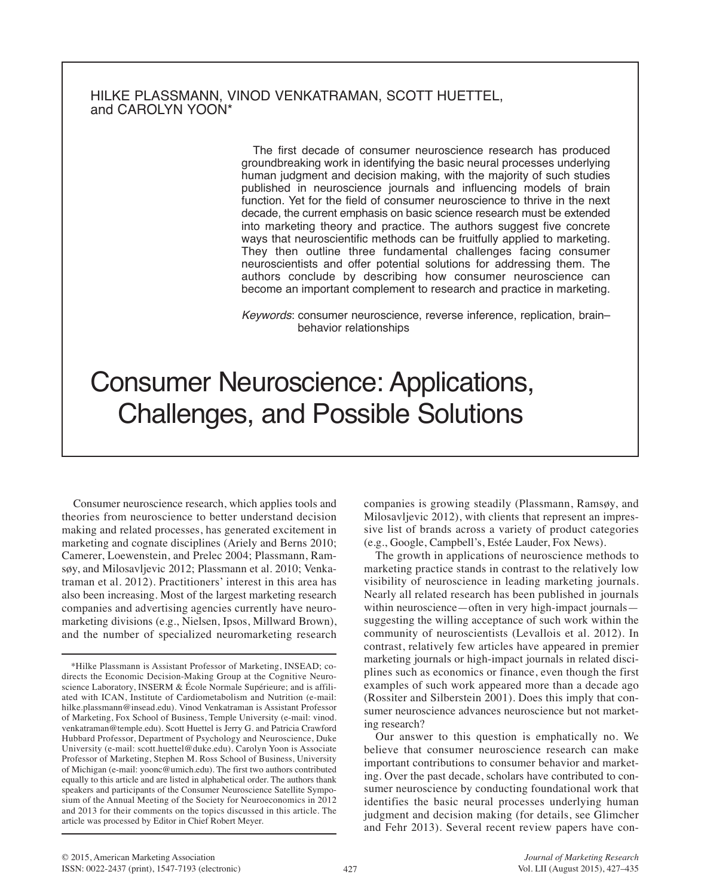## HILKE PLASSMANN, VINOD VENKATRAMAN, SCOTT HUETTEL, and CAROLYN YOON\*

The first decade of consumer neuroscience research has produced groundbreaking work in identifying the basic neural processes underlying human judgment and decision making, with the majority of such studies published in neuroscience journals and influencing models of brain function. Yet for the field of consumer neuroscience to thrive in the next decade, the current emphasis on basic science research must be extended into marketing theory and practice. The authors suggest five concrete ways that neuroscientific methods can be fruitfully applied to marketing. They then outline three fundamental challenges facing consumer neuroscientists and offer potential solutions for addressing them. The authors conclude by describing how consumer neuroscience can become an important complement to research and practice in marketing.

*Keywords*: consumer neuroscience, reverse inference, replication, brain– behavior relationships

# Consumer Neuroscience: Applications, Challenges, and Possible Solutions

Consumer neuroscience research, which applies tools and theories from neuroscience to better understand decision making and related processes, has generated excitement in marketing and cognate disciplines (Ariely and Berns 2010; Camerer, Loewenstein, and Prelec 2004; Plassmann, Ramsøy, and Milosavljevic 2012; Plassmann et al. 2010; Venkatraman et al. 2012). Practitioners' interest in this area has also been increasing. Most of the largest marketing research companies and advertising agencies currently have neuromarketing divisions (e.g., Nielsen, Ipsos, Millward Brown), and the number of specialized neuromarketing research

companies is growing steadily (Plassmann, Ramsøy, and Milosavljevic 2012), with clients that represent an impressive list of brands across a variety of product categories (e.g., Google, Campbell's, Estée Lauder, Fox News).

The growth in applications of neuroscience methods to marketing practice stands in contrast to the relatively low visibility of neuroscience in leading marketing journals. Nearly all related research has been published in journals within neuroscience—often in very high-impact journals suggesting the willing acceptance of such work within the community of neuroscientists (Levallois et al. 2012). In contrast, relatively few articles have appeared in premier marketing journals or high-impact journals in related disciplines such as economics or finance, even though the first examples of such work appeared more than a decade ago (Rossiter and Silberstein 2001). Does this imply that consumer neuroscience advances neuroscience but not marketing research?

Our answer to this question is emphatically no. We believe that consumer neuroscience research can make important contributions to consumer behavior and marketing. Over the past decade, scholars have contributed to consumer neuroscience by conducting foundational work that identifies the basic neural processes underlying human judgment and decision making (for details, see Glimcher and Fehr 2013). Several recent review papers have con-

<sup>\*</sup>Hilke Plassmann is Assistant Professor of Marketing, INSEAD; codirects the Economic Decision-Making Group at the Cognitive Neuroscience Laboratory, INSERM & École Normale Supérieure; and is affiliated with ICAN, Institute of Cardiometabolism and Nutrition (e-mail: hilke.plassmann@insead.edu). Vinod Venkatraman is Assistant Professor of Marketing, Fox School of Business, Temple University (e-mail: vinod. venkatraman@temple.edu). Scott Huettel is Jerry G. and Patricia Crawford Hubbard Professor, Department of Psychology and Neuroscience, Duke University (e-mail: scott.huettel@duke.edu). Carolyn Yoon is Associate Professor of Marketing, Stephen M. Ross School of Business, University of Michigan (e-mail: yoonc@umich.edu). The first two authors contributed equally to this article and are listed in alphabetical order. The authors thank speakers and participants of the Consumer Neuroscience Satellite Symposium of the Annual Meeting of the Society for Neuroeconomics in 2012 and 2013 for their comments on the topics discussed in this article. The article was processed by Editor in Chief Robert Meyer.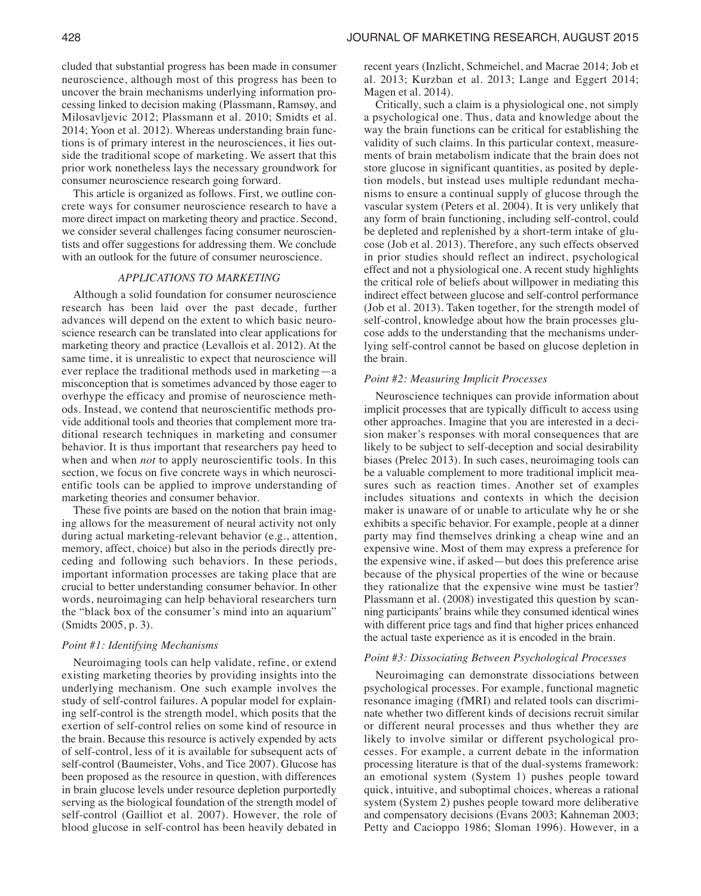cluded that substantial progress has been made in consumer neuroscience, although most of this progress has been to uncover the brain mechanisms underlying information processing linked to decision making (Plassmann, Ramsøy, and Milosavljevic 2012; Plassmann et al. 2010; Smidts et al. 2014; Yoon et al. 2012). Whereas understanding brain functions is of primary interest in the neurosciences, it lies outside the traditional scope of marketing. We assert that this prior work nonetheless lays the necessary groundwork for consumer neuroscience research going forward.

This article is organized as follows. First, we outline concrete ways for consumer neuroscience research to have a more direct impact on marketing theory and practice. Second, we consider several challenges facing consumer neuroscientists and offer suggestions for addressing them. We conclude with an outlook for the future of consumer neuroscience.

### *APPLICATIONS TO MARKETING*

Although a solid foundation for consumer neuroscience research has been laid over the past decade, further advances will depend on the extent to which basic neuroscience research can be translated into clear applications for marketing theory and practice (Levallois et al. 2012). At the same time, it is unrealistic to expect that neuroscience will ever replace the traditional methods used in marketing—a misconception that is sometimes advanced by those eager to overhype the efficacy and promise of neuroscience methods. Instead, we contend that neuroscientific methods provide additional tools and theories that complement more traditional research techniques in marketing and consumer behavior. It is thus important that researchers pay heed to when and when *not* to apply neuroscientific tools. In this section, we focus on five concrete ways in which neuroscientific tools can be applied to improve understanding of marketing theories and consumer behavior.

These five points are based on the notion that brain imaging allows for the measurement of neural activity not only during actual marketing-relevant behavior (e.g., attention, memory, affect, choice) but also in the periods directly preceding and following such behaviors. In these periods, important information processes are taking place that are crucial to better understanding consumer behavior. In other words, neuroimaging can help behavioral researchers turn the "black box of the consumer's mind into an aquarium" (Smidts 2005, p. 3).

## *Point #1: Identifying Mechanisms*

Neuroimaging tools can help validate, refine, or extend existing marketing theories by providing insights into the underlying mechanism. One such example involves the study of self-control failures. A popular model for explaining self-control is the strength model, which posits that the exertion of self-control relies on some kind of resource in the brain. Because this resource is actively expended by acts of self-control, less of it is available for subsequent acts of self-control (Baumeister, Vohs, and Tice 2007). Glucose has been proposed as the resource in question, with differences in brain glucose levels under resource depletion purportedly serving as the biological foundation of the strength model of self-control (Gailliot et al. 2007). However, the role of blood glucose in self-control has been heavily debated in

recent years (Inzlicht, Schmeichel, and Macrae 2014; Job et al. 2013; Kurzban et al. 2013; Lange and Eggert 2014; Magen et al. 2014).

Critically, such a claim is a physiological one, not simply a psychological one. Thus, data and knowledge about the way the brain functions can be critical for establishing the validity of such claims. In this particular context, measurements of brain metabolism indicate that the brain does not store glucose in significant quantities, as posited by depletion models, but instead uses multiple redundant mechanisms to ensure a continual supply of glucose through the vascular system (Peters et al. 2004). It is very unlikely that any form of brain functioning, including self-control, could be depleted and replenished by a short-term intake of glucose (Job et al. 2013). Therefore, any such effects observed in prior studies should reflect an indirect, psychological effect and not a physiological one. A recent study highlights the critical role of beliefs about willpower in mediating this indirect effect between glucose and self-control performance (Job et al. 2013). Taken together, for the strength model of self-control, knowledge about how the brain processes glucose adds to the understanding that the mechanisms underlying self-control cannot be based on glucose depletion in the brain.

### *Point #2: Measuring Implicit Processes*

Neuroscience techniques can provide information about implicit processes that are typically difficult to access using other approaches. Imagine that you are interested in a decision maker's responses with moral consequences that are likely to be subject to self-deception and social desirability biases (Prelec 2013). In such cases, neuroimaging tools can be a valuable complement to more traditional implicit measures such as reaction times. Another set of examples includes situations and contexts in which the decision maker is unaware of or unable to articulate why he or she exhibits a specific behavior. For example, people at a dinner party may find themselves drinking a cheap wine and an expensive wine. Most of them may express a preference for the expensive wine, if asked—but does this preference arise because of the physical properties of the wine or because they rationalize that the expensive wine must be tastier? Plassmann et al. (2008) investigated this question by scanning participants' brains while they consumed identical wines with different price tags and find that higher prices enhanced the actual taste experience as it is encoded in the brain.

#### *Point #3: Dissociating Between Psychological Processes*

Neuroimaging can demonstrate dissociations between psychological processes. For example, functional magnetic resonance imaging (fMRI) and related tools can discriminate whether two different kinds of decisions recruit similar or different neural processes and thus whether they are likely to involve similar or different psychological processes. For example, a current debate in the information processing literature is that of the dual-systems framework: an emotional system (System 1) pushes people toward quick, intuitive, and suboptimal choices, whereas a rational system (System 2) pushes people toward more deliberative and compensatory decisions (Evans 2003; Kahneman 2003; Petty and Cacioppo 1986; Sloman 1996). However, in a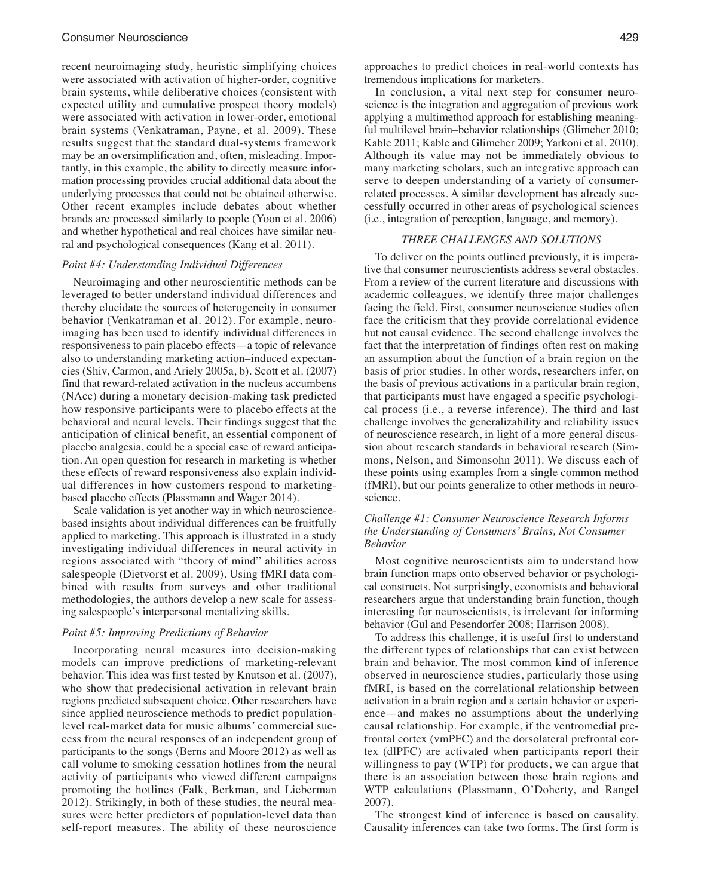recent neuroimaging study, heuristic simplifying choices were associated with activation of higher-order, cognitive brain systems, while deliberative choices (consistent with expected utility and cumulative prospect theory models) were associated with activation in lower-order, emotional brain systems (Venkatraman, Payne, et al. 2009). These results suggest that the standard dual-systems framework may be an oversimplification and, often, misleading. Importantly, in this example, the ability to directly measure information processing provides crucial additional data about the underlying processes that could not be obtained otherwise. Other recent examples include debates about whether brands are processed similarly to people (Yoon et al. 2006) and whether hypothetical and real choices have similar neural and psychological consequences (Kang et al. 2011).

#### *Point #4: Understanding Individual Differences*

Neuroimaging and other neuroscientific methods can be leveraged to better understand individual differences and thereby elucidate the sources of heterogeneity in consumer behavior (Venkatraman et al. 2012). For example, neuroimaging has been used to identify individual differences in responsiveness to pain placebo effects—a topic of relevance also to understanding marketing action–induced expectancies (Shiv, Carmon, and Ariely 2005a, b). Scott et al. (2007) find that reward-related activation in the nucleus accumbens (NAcc) during a monetary decision-making task predicted how responsive participants were to placebo effects at the behavioral and neural levels. Their findings suggest that the anticipation of clinical benefit, an essential component of placebo analgesia, could be a special case of reward anticipation. An open question for research in marketing is whether these effects of reward responsiveness also explain individual differences in how customers respond to marketingbased placebo effects (Plassmann and Wager 2014).

Scale validation is yet another way in which neurosciencebased insights about individual differences can be fruitfully applied to marketing. This approach is illustrated in a study investigating individual differences in neural activity in regions associated with "theory of mind" abilities across salespeople (Dietvorst et al. 2009). Using fMRI data combined with results from surveys and other traditional methodologies, the authors develop a new scale for assessing salespeople's interpersonal mentalizing skills.

#### *Point #5: Improving Predictions of Behavior*

Incorporating neural measures into decision-making models can improve predictions of marketing-relevant behavior. This idea was first tested by Knutson et al. (2007), who show that predecisional activation in relevant brain regions predicted subsequent choice. Other researchers have since applied neuroscience methods to predict populationlevel real-market data for music albums' commercial success from the neural responses of an independent group of participants to the songs (Berns and Moore 2012) as well as call volume to smoking cessation hotlines from the neural activity of participants who viewed different campaigns promoting the hotlines (Falk, Berkman, and Lieberman 2012). Strikingly, in both of these studies, the neural measures were better predictors of population-level data than self-report measures. The ability of these neuroscience

approaches to predict choices in real-world contexts has tremendous implications for marketers.

In conclusion, a vital next step for consumer neuroscience is the integration and aggregation of previous work applying a multimethod approach for establishing meaningful multilevel brain–behavior relationships (Glimcher 2010; Kable 2011; Kable and Glimcher 2009; Yarkoni et al. 2010). Although its value may not be immediately obvious to many marketing scholars, such an integrative approach can serve to deepen understanding of a variety of consumerrelated processes. A similar development has already successfully occurred in other areas of psychological sciences (i.e., integration of perception, language, and memory).

## *THREE CHALLENGES AND SOLUTIONS*

To deliver on the points outlined previously, it is imperative that consumer neuroscientists address several obstacles. From a review of the current literature and discussions with academic colleagues, we identify three major challenges facing the field. First, consumer neuroscience studies often face the criticism that they provide correlational evidence but not causal evidence. The second challenge involves the fact that the interpretation of findings often rest on making an assumption about the function of a brain region on the basis of prior studies. In other words, researchers infer, on the basis of previous activations in a particular brain region, that participants must have engaged a specific psychological process (i.e., a reverse inference). The third and last challenge involves the generalizability and reliability issues of neuroscience research, in light of a more general discussion about research standards in behavioral research (Simmons, Nelson, and Simonsohn 2011). We discuss each of these points using examples from a single common method (fMRI), but our points generalize to other methods in neuroscience.

## *Challenge #1: Consumer Neuroscience Research Informs the Understanding of Consumers' Brains, Not Consumer Behavior*

Most cognitive neuroscientists aim to understand how brain function maps onto observed behavior or psychological constructs. Not surprisingly, economists and behavioral researchers argue that understanding brain function, though interesting for neuroscientists, is irrelevant for informing behavior (Gul and Pesendorfer 2008; Harrison 2008).

To address this challenge, it is useful first to understand the different types of relationships that can exist between brain and behavior. The most common kind of inference observed in neuroscience studies, particularly those using fMRI, is based on the correlational relationship between activation in a brain region and a certain behavior or experience—and makes no assumptions about the underlying causal relationship. For example, if the ventromedial prefrontal cortex (vmPFC) and the dorsolateral prefrontal cortex (dlPFC) are activated when participants report their willingness to pay (WTP) for products, we can argue that there is an association between those brain regions and WTP calculations (Plassmann, O'Doherty, and Rangel 2007).

The strongest kind of inference is based on causality. Causality inferences can take two forms. The first form is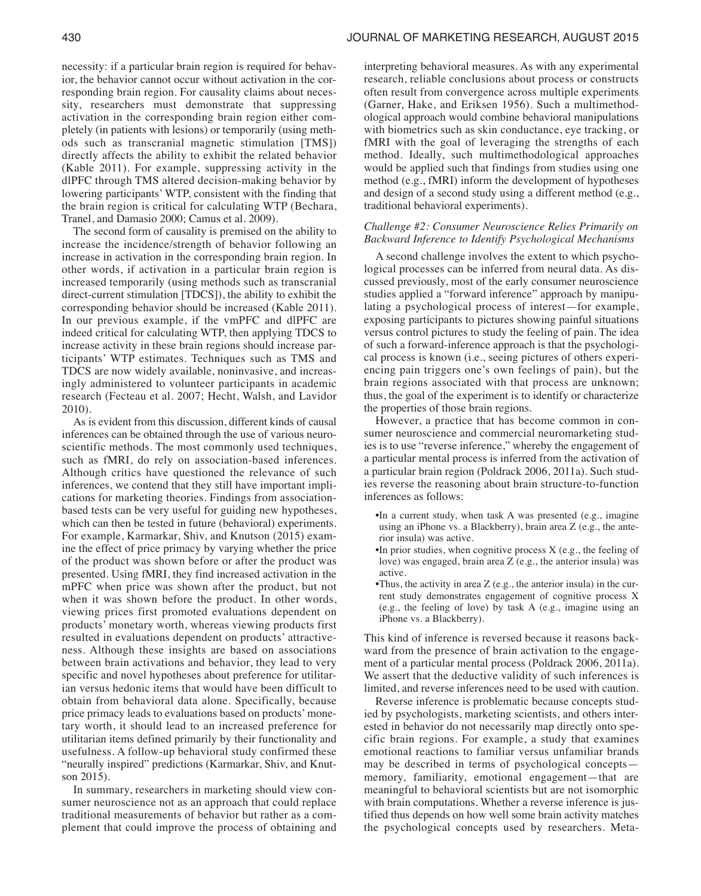necessity: if a particular brain region is required for behavior, the behavior cannot occur without activation in the corresponding brain region. For causality claims about necessity, researchers must demonstrate that suppressing activation in the corresponding brain region either completely (in patients with lesions) or temporarily (using methods such as transcranial magnetic stimulation [TMS]) directly affects the ability to exhibit the related behavior (Kable 2011). For example, suppressing activity in the dlPFC through TMS altered decision-making behavior by lowering participants' WTP, consistent with the finding that the brain region is critical for calculating WTP (Bechara, Tranel, and Damasio 2000; Camus et al. 2009).

The second form of causality is premised on the ability to increase the incidence/strength of behavior following an increase in activation in the corresponding brain region. In other words, if activation in a particular brain region is increased temporarily (using methods such as transcranial direct-current stimulation [TDCS]), the ability to exhibit the corresponding behavior should be increased (Kable 2011). In our previous example, if the vmPFC and dlPFC are indeed critical for calculating WTP, then applying TDCS to increase activity in these brain regions should increase participants' WTP estimates. Techniques such as TMS and TDCS are now widely available, noninvasive, and increasingly administered to volunteer participants in academic research (Fecteau et al. 2007; Hecht, Walsh, and Lavidor 2010).

As is evident from this discussion, different kinds of causal inferences can be obtained through the use of various neuroscientific methods. The most commonly used techniques, such as fMRI, do rely on association-based inferences. Although critics have questioned the relevance of such inferences, we contend that they still have important implications for marketing theories. Findings from associationbased tests can be very useful for guiding new hypotheses, which can then be tested in future (behavioral) experiments. For example, Karmarkar, Shiv, and Knutson (2015) examine the effect of price primacy by varying whether the price of the product was shown before or after the product was presented. Using fMRI, they find increased activation in the mPFC when price was shown after the product, but not when it was shown before the product. In other words, viewing prices first promoted evaluations dependent on products' monetary worth, whereas viewing products first resulted in evaluations dependent on products' attractiveness. Although these insights are based on associations between brain activations and behavior, they lead to very specific and novel hypotheses about preference for utilitarian versus hedonic items that would have been difficult to obtain from behavioral data alone. Specifically, because price primacy leads to evaluations based on products'monetary worth, it should lead to an increased preference for utilitarian items defined primarily by their functionality and usefulness. A follow-up behavioral study confirmed these "neurally inspired" predictions (Karmarkar, Shiv, and Knutson 2015).

In summary, researchers in marketing should view consumer neuroscience not as an approach that could replace traditional measurements of behavior but rather as a complement that could improve the process of obtaining and

interpreting behavioral measures. As with any experimental research, reliable conclusions about process or constructs often result from convergence across multiple experiments (Garner, Hake, and Eriksen 1956). Such a multimethodological approach would combine behavioral manipulations with biometrics such as skin conductance, eye tracking, or fMRI with the goal of leveraging the strengths of each method. Ideally, such multimethodological approaches would be applied such that findings from studies using one method (e.g., fMRI) inform the development of hypotheses and design of a second study using a different method (e.g., traditional behavioral experiments).

## *Challenge #2: Consumer Neuroscience Relies Primarily on Backward Inference to Identify Psychological Mechanisms*

A second challenge involves the extent to which psychological processes can be inferred from neural data. As discussed previously, most of the early consumer neuroscience studies applied a "forward inference" approach by manipulating a psychological process of interest—for example, exposing participants to pictures showing painful situations versus control pictures to study the feeling of pain. The idea of such a forward-inference approach is that the psychological process is known (i.e., seeing pictures of others experiencing pain triggers one's own feelings of pain), but the brain regions associated with that process are unknown; thus, the goal of the experiment is to identify or characterize the properties of those brain regions.

However, a practice that has become common in consumer neuroscience and commercial neuromarketing studies is to use "reverse inference," whereby the engagement of a particular mental process is inferred from the activation of a particular brain region (Poldrack 2006, 2011a). Such studies reverse the reasoning about brain structure-to-function inferences as follows:

- •In a current study, when task A was presented (e.g., imagine using an iPhone vs. a Blackberry), brain area Z (e.g., the anterior insula) was active.
- •In prior studies, when cognitive process X (e.g., the feeling of love) was engaged, brain area Z (e.g., the anterior insula) was active.
- •Thus, the activity in area Z (e.g., the anterior insula) in the current study demonstrates engagement of cognitive process X (e.g., the feeling of love) by task A (e.g., imagine using an iPhone vs. a Blackberry).

This kind of inference is reversed because it reasons backward from the presence of brain activation to the engagement of a particular mental process (Poldrack 2006, 2011a). We assert that the deductive validity of such inferences is limited, and reverse inferences need to be used with caution.

Reverse inference is problematic because concepts studied by psychologists, marketing scientists, and others interested in behavior do not necessarily map directly onto specific brain regions. For example, a study that examines emotional reactions to familiar versus unfamiliar brands may be described in terms of psychological concepts memory, familiarity, emotional engagement—that are meaningful to behavioral scientists but are not isomorphic with brain computations. Whether a reverse inference is justified thus depends on how well some brain activity matches the psychological concepts used by researchers. Meta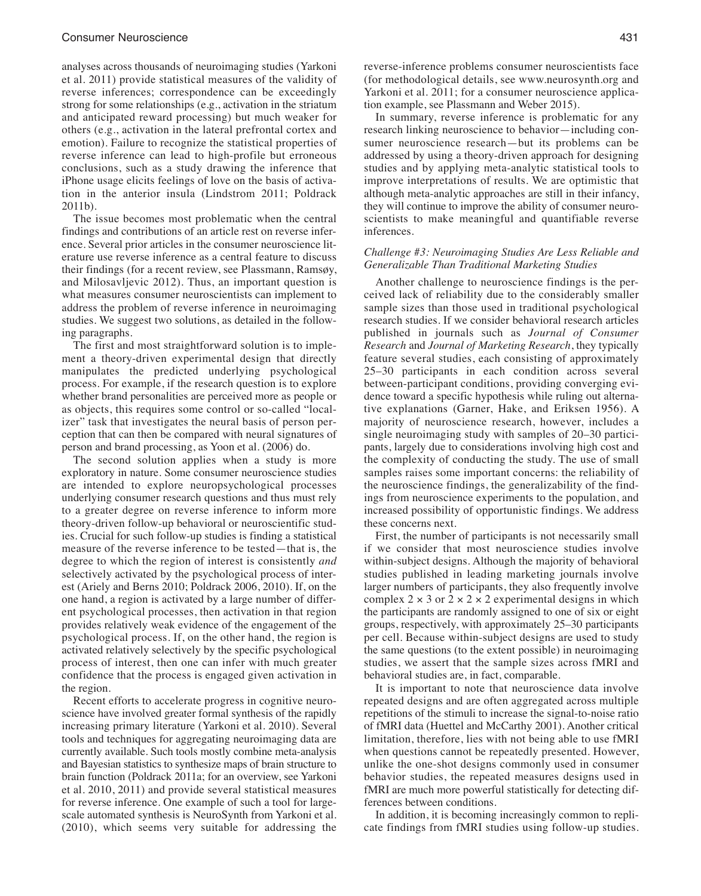analyses across thousands of neuroimaging studies (Yarkoni et al. 2011) provide statistical measures of the validity of reverse inferences; correspondence can be exceedingly strong for some relationships (e.g., activation in the striatum and anticipated reward processing) but much weaker for others (e.g., activation in the lateral prefrontal cortex and emotion). Failure to recognize the statistical properties of reverse inference can lead to high-profile but erroneous conclusions, such as a study drawing the inference that iPhone usage elicits feelings of love on the basis of activation in the anterior insula (Lindstrom 2011; Poldrack 2011b).

The issue becomes most problematic when the central findings and contributions of an article rest on reverse inference. Several prior articles in the consumer neuroscience literature use reverse inference as a central feature to discuss their findings (for a recent review, see Plassmann, Ramsøy, and Milosavljevic 2012). Thus, an important question is what measures consumer neuroscientists can implement to address the problem of reverse inference in neuroimaging studies. We suggest two solutions, as detailed in the following paragraphs.

The first and most straightforward solution is to implement a theory-driven experimental design that directly manipulates the predicted underlying psychological process. For example, if the research question is to explore whether brand personalities are perceived more as people or as objects, this requires some control or so-called "localizer" task that investigates the neural basis of person perception that can then be compared with neural signatures of person and brand processing, as Yoon et al. (2006) do.

The second solution applies when a study is more exploratory in nature. Some consumer neuroscience studies are intended to explore neuropsychological processes underlying consumer research questions and thus must rely to a greater degree on reverse inference to inform more theory-driven follow-up behavioral or neuroscientific studies. Crucial for such follow-up studies is finding a statistical measure of the reverse inference to be tested—that is, the degree to which the region of interest is consistently *and* selectively activated by the psychological process of interest (Ariely and Berns 2010; Poldrack 2006, 2010). If, on the one hand, a region is activated by a large number of different psychological processes, then activation in that region provides relatively weak evidence of the engagement of the psychological process. If, on the other hand, the region is activated relatively selectively by the specific psychological process of interest, then one can infer with much greater confidence that the process is engaged given activation in the region.

Recent efforts to accelerate progress in cognitive neuroscience have involved greater formal synthesis of the rapidly increasing primary literature (Yarkoni et al. 2010). Several tools and techniques for aggregating neuroimaging data are currently available. Such tools mostly combine meta-analysis and Bayesian statistics to synthesize maps of brain structure to brain function (Poldrack 2011a; for an overview, see Yarkoni et al. 2010, 2011) and provide several statistical measures for reverse inference. One example of such a tool for largescale automated synthesis is NeuroSynth from Yarkoni et al. (2010), which seems very suitable for addressing the

reverse-inference problems consumer neuroscientists face (for methodological details, see www.neurosynth.org and Yarkoni et al. 2011; for a consumer neuroscience application example, see Plassmann and Weber 2015).

In summary, reverse inference is problematic for any research linking neuroscience to behavior—including consumer neuroscience research—but its problems can be addressed by using a theory-driven approach for designing studies and by applying meta-analytic statistical tools to improve interpretations of results. We are optimistic that although meta-analytic approaches are still in their infancy, they will continue to improve the ability of consumer neuroscientists to make meaningful and quantifiable reverse inferences.

## *Challenge #3: Neuroimaging Studies Are Less Reliable and Generalizable Than Traditional Marketing Studies*

Another challenge to neuroscience findings is the perceived lack of reliability due to the considerably smaller sample sizes than those used in traditional psychological research studies. If we consider behavioral research articles published in journals such as *Journal of Consumer Research* and *Journal of Marketing Research*, they typically feature several studies, each consisting of approximately 25–30 participants in each condition across several between-participant conditions, providing converging evidence toward a specific hypothesis while ruling out alternative explanations (Garner, Hake, and Eriksen 1956). A majority of neuroscience research, however, includes a single neuroimaging study with samples of 20–30 participants, largely due to considerations involving high cost and the complexity of conducting the study. The use of small samples raises some important concerns: the reliability of the neuroscience findings, the generalizability of the findings from neuroscience experiments to the population, and increased possibility of opportunistic findings. We address these concerns next.

First, the number of participants is not necessarily small if we consider that most neuroscience studies involve within-subject designs. Although the majority of behavioral studies published in leading marketing journals involve larger numbers of participants, they also frequently involve complex  $2 \times 3$  or  $2 \times 2 \times 2$  experimental designs in which the participants are randomly assigned to one of six or eight groups, respectively, with approximately 25–30 participants per cell. Because within-subject designs are used to study the same questions (to the extent possible) in neuroimaging studies, we assert that the sample sizes across fMRI and behavioral studies are, in fact, comparable.

It is important to note that neuroscience data involve repeated designs and are often aggregated across multiple repetitions of the stimuli to increase the signal-to-noise ratio of fMRI data (Huettel and McCarthy 2001). Another critical limitation, therefore, lies with not being able to use fMRI when questions cannot be repeatedly presented. However, unlike the one-shot designs commonly used in consumer behavior studies, the repeated measures designs used in fMRI are much more powerful statistically for detecting differences between conditions.

In addition, it is becoming increasingly common to replicate findings from fMRI studies using follow-up studies.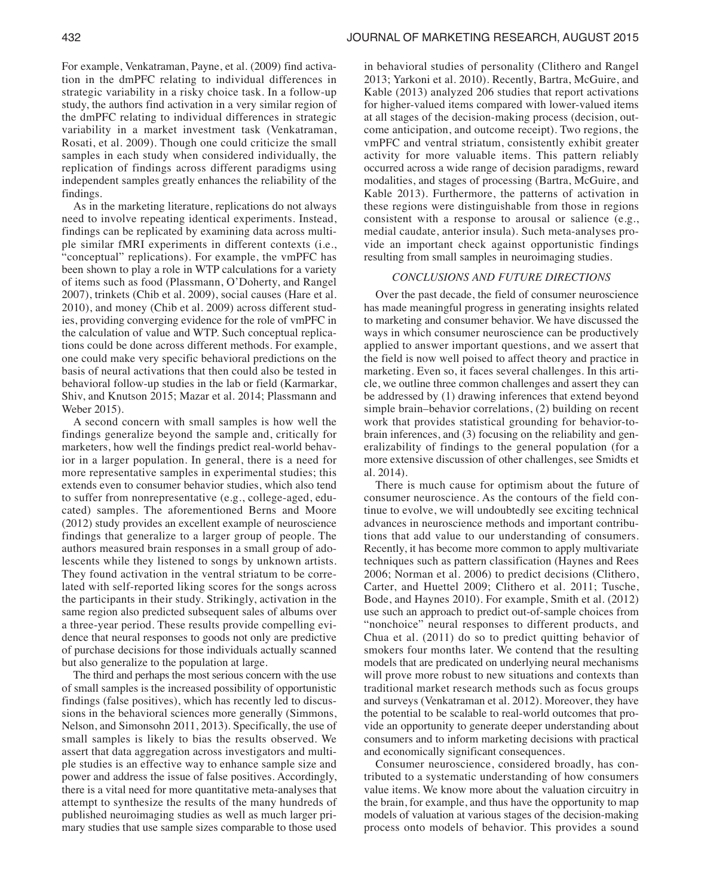For example, Venkatraman, Payne, et al. (2009) find activation in the dmPFC relating to individual differences in strategic variability in a risky choice task. In a follow-up study, the authors find activation in a very similar region of the dmPFC relating to individual differences in strategic variability in a market investment task (Venkatraman, Rosati, et al. 2009). Though one could criticize the small samples in each study when considered individually, the replication of findings across different paradigms using independent samples greatly enhances the reliability of the findings.

As in the marketing literature, replications do not always need to involve repeating identical experiments. Instead, findings can be replicated by examining data across multiple similar fMRI experiments in different contexts (i.e., "conceptual" replications). For example, the vmPFC has been shown to play a role in WTP calculations for a variety of items such as food (Plassmann, O'Doherty, and Rangel 2007), trinkets (Chib et al. 2009), social causes (Hare et al. 2010), and money (Chib et al. 2009) across different studies, providing converging evidence for the role of vmPFC in the calculation of value and WTP. Such conceptual replications could be done across different methods. For example, one could make very specific behavioral predictions on the basis of neural activations that then could also be tested in behavioral follow-up studies in the lab or field (Karmarkar, Shiv, and Knutson 2015; Mazar et al. 2014; Plassmann and Weber 2015).

A second concern with small samples is how well the findings generalize beyond the sample and, critically for marketers, how well the findings predict real-world behavior in a larger population. In general, there is a need for more representative samples in experimental studies; this extends even to consumer behavior studies, which also tend to suffer from nonrepresentative (e.g., college-aged, educated) samples. The aforementioned Berns and Moore (2012) study provides an excellent example of neuroscience findings that generalize to a larger group of people. The authors measured brain responses in a small group of adolescents while they listened to songs by unknown artists. They found activation in the ventral striatum to be correlated with self-reported liking scores for the songs across the participants in their study. Strikingly, activation in the same region also predicted subsequent sales of albums over a three-year period. These results provide compelling evidence that neural responses to goods not only are predictive of purchase decisions for those individuals actually scanned but also generalize to the population at large.

The third and perhaps the most serious concern with the use of small samples is the increased possibility of opportunistic findings (false positives), which has recently led to discussions in the behavioral sciences more generally (Simmons, Nelson, and Simonsohn 2011, 2013). Specifically, the use of small samples is likely to bias the results observed. We assert that data aggregation across investigators and multiple studies is an effective way to enhance sample size and power and address the issue of false positives. Accordingly, there is a vital need for more quantitative meta-analyses that attempt to synthesize the results of the many hundreds of published neuroimaging studies as well as much larger primary studies that use sample sizes comparable to those used

in behavioral studies of personality (Clithero and Rangel 2013; Yarkoni et al. 2010). Recently, Bartra, McGuire, and Kable (2013) analyzed 206 studies that report activations for higher-valued items compared with lower-valued items at all stages of the decision-making process (decision, outcome anticipation, and outcome receipt). Two regions, the vmPFC and ventral striatum, consistently exhibit greater activity for more valuable items. This pattern reliably occurred across a wide range of decision paradigms, reward modalities, and stages of processing (Bartra, McGuire, and Kable 2013). Furthermore, the patterns of activation in these regions were distinguishable from those in regions consistent with a response to arousal or salience (e.g., medial caudate, anterior insula). Such meta-analyses provide an important check against opportunistic findings resulting from small samples in neuroimaging studies.

#### *CONCLUSIONS AND FUTURE DIRECTIONS*

Over the past decade, the field of consumer neuroscience has made meaningful progress in generating insights related to marketing and consumer behavior. We have discussed the ways in which consumer neuroscience can be productively applied to answer important questions, and we assert that the field is now well poised to affect theory and practice in marketing. Even so, it faces several challenges. In this article, we outline three common challenges and assert they can be addressed by (1) drawing inferences that extend beyond simple brain–behavior correlations, (2) building on recent work that provides statistical grounding for behavior-tobrain inferences, and (3) focusing on the reliability and generalizability of findings to the general population (for a more extensive discussion of other challenges, see Smidts et al. 2014).

There is much cause for optimism about the future of consumer neuroscience. As the contours of the field continue to evolve, we will undoubtedly see exciting technical advances in neuroscience methods and important contributions that add value to our understanding of consumers. Recently, it has become more common to apply multivariate techniques such as pattern classification (Haynes and Rees 2006; Norman et al. 2006) to predict decisions (Clithero, Carter, and Huettel 2009; Clithero et al. 2011; Tusche, Bode, and Haynes 2010). For example, Smith et al. (2012) use such an approach to predict out-of-sample choices from "nonchoice" neural responses to different products, and Chua et al. (2011) do so to predict quitting behavior of smokers four months later. We contend that the resulting models that are predicated on underlying neural mechanisms will prove more robust to new situations and contexts than traditional market research methods such as focus groups and surveys (Venkatraman et al. 2012). Moreover, they have the potential to be scalable to real-world outcomes that provide an opportunity to generate deeper understanding about consumers and to inform marketing decisions with practical and economically significant consequences.

Consumer neuroscience, considered broadly, has contributed to a systematic understanding of how consumers value items. We know more about the valuation circuitry in the brain, for example, and thus have the opportunity to map models of valuation at various stages of the decision-making process onto models of behavior. This provides a sound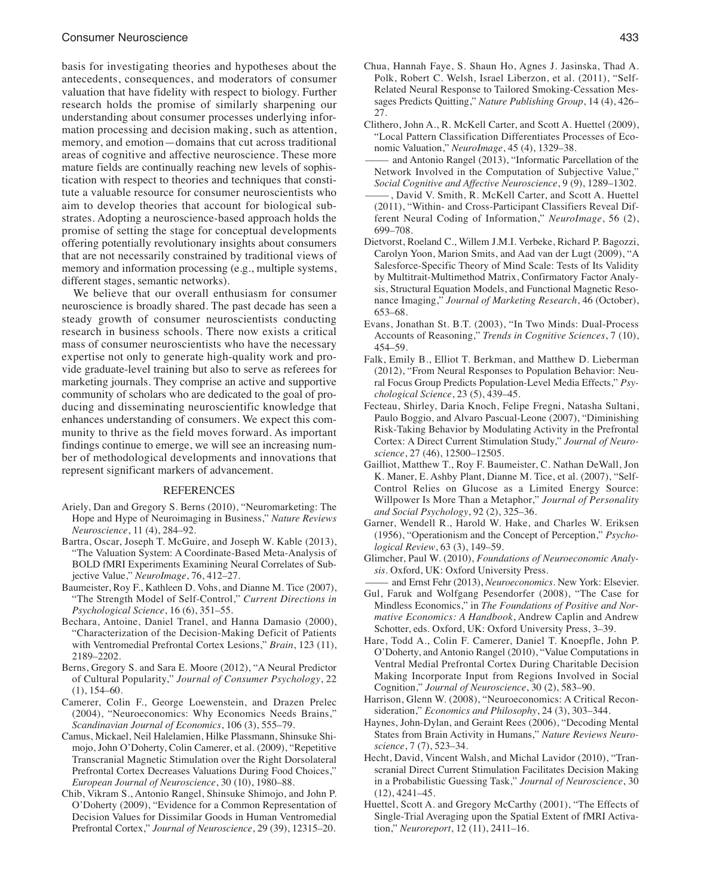basis for investigating theories and hypotheses about the antecedents, consequences, and moderators of consumer valuation that have fidelity with respect to biology. Further research holds the promise of similarly sharpening our understanding about consumer processes underlying information processing and decision making, such as attention, memory, and emotion—domains that cut across traditional areas of cognitive and affective neuroscience. These more mature fields are continually reaching new levels of sophistication with respect to theories and techniques that constitute a valuable resource for consumer neuroscientists who aim to develop theories that account for biological substrates. Adopting a neuroscience-based approach holds the promise of setting the stage for conceptual developments offering potentially revolutionary insights about consumers that are not necessarily constrained by traditional views of memory and information processing (e.g., multiple systems, different stages, semantic networks).

We believe that our overall enthusiasm for consumer neuroscience is broadly shared. The past decade has seen a steady growth of consumer neuroscientists conducting research in business schools. There now exists a critical mass of consumer neuroscientists who have the necessary expertise not only to generate high-quality work and provide graduate-level training but also to serve as referees for marketing journals. They comprise an active and supportive community of scholars who are dedicated to the goal of producing and disseminating neuroscientific knowledge that enhances understanding of consumers. We expect this community to thrive as the field moves forward. As important findings continue to emerge, we will see an increasing number of methodological developments and innovations that represent significant markers of advancement.

#### REFERENCES

- Ariely, Dan and Gregory S. Berns (2010), "Neuromarketing: The Hope and Hype of Neuroimaging in Business," *Nature Reviews Neuroscience*, 11 (4), 284–92.
- Bartra, Oscar, Joseph T. McGuire, and Joseph W. Kable (2013), "The Valuation System: A Coordinate-Based Meta-Analysis of BOLD fMRI Experiments Examining Neural Correlates of Subjective Value," *NeuroImage*, 76, 412–27.
- Baumeister, Roy F., Kathleen D. Vohs, and Dianne M. Tice (2007), "The Strength Model of Self-Control," *Current Directions in Psychological Science*, 16 (6), 351–55.
- Bechara, Antoine, Daniel Tranel, and Hanna Damasio (2000), "Characterization of the Decision-Making Deficit of Patients with Ventromedial Prefrontal Cortex Lesions," *Brain*, 123 (11), 2189–2202.
- Berns, Gregory S. and Sara E. Moore (2012), "A Neural Predictor of Cultural Popularity," *Journal of Consumer Psychology*, 22 (1), 154–60.
- Camerer, Colin F., George Loewenstein, and Drazen Prelec (2004), "Neuroeconomics: Why Economics Needs Brains," *Scandinavian Journal of Economics*, 106 (3), 555–79.
- Camus, Mickael, Neil Halelamien, Hilke Plassmann, Shinsuke Shimojo, John O'Doherty, Colin Camerer, et al. (2009), "Repetitive Transcranial Magnetic Stimulation over the Right Dorsolateral Prefrontal Cortex Decreases Valuations During Food Choices," *European Journal of Neuroscience*, 30 (10), 1980–88.
- Chib, Vikram S., Antonio Rangel, Shinsuke Shimojo, and John P. O'Doherty (2009), "Evidence for a Common Representation of Decision Values for Dissimilar Goods in Human Ventromedial Prefrontal Cortex," *Journal of Neuroscience*, 29 (39), 12315–20.
- Chua, Hannah Faye, S. Shaun Ho, Agnes J. Jasinska, Thad A. Polk, Robert C. Welsh, Israel Liberzon, et al. (2011), "Self-Related Neural Response to Tailored Smoking-Cessation Messages Predicts Quitting," *Nature Publishing Group*, 14 (4), 426– 27.
- Clithero, John A., R. McKell Carter, and Scott A. Huettel (2009), "Local Pattern Classification Differentiates Processes of Economic Valuation," *NeuroImage*, 45 (4), 1329–38.
- and Antonio Rangel (2013), "Informatic Parcellation of the Network Involved in the Computation of Subjective Value," *Social Cognitive and Affective Neuroscience*, 9 (9), 1289–1302.
- , David V. Smith, R. McKell Carter, and Scott A. Huettel (2011), "Within- and Cross-Participant Classifiers Reveal Different Neural Coding of Information," *NeuroImage*, 56 (2), 699–708.
- Dietvorst, Roeland C., Willem J.M.I. Verbeke, Richard P. Bagozzi, Carolyn Yoon, Marion Smits, and Aad van der Lugt (2009), "A Salesforce-Specific Theory of Mind Scale: Tests of Its Validity by Multitrait-Multimethod Matrix, Confirmatory Factor Analysis, Structural Equation Models, and Functional Magnetic Resonance Imaging," *Journal of Marketing Research*, 46 (October), 653–68.
- Evans, Jonathan St. B.T. (2003), "In Two Minds: Dual-Process Accounts of Reasoning," *Trends in Cognitive Sciences*, 7 (10), 454–59.
- Falk, Emily B., Elliot T. Berkman, and Matthew D. Lieberman (2012), "From Neural Responses to Population Behavior: Neural Focus Group Predicts Population-Level Media Effects," *Psychological Science*, 23 (5), 439–45.
- Fecteau, Shirley, Daria Knoch, Felipe Fregni, Natasha Sultani, Paulo Boggio, and Alvaro Pascual-Leone (2007), "Diminishing Risk-Taking Behavior by Modulating Activity in the Prefrontal Cortex: A Direct Current Stimulation Study," *Journal of Neuroscience*, 27 (46), 12500–12505.
- Gailliot, Matthew T., Roy F. Baumeister, C. Nathan DeWall, Jon K. Maner, E. Ashby Plant, Dianne M. Tice, et al. (2007), "Self-Control Relies on Glucose as a Limited Energy Source: Willpower Is More Than a Metaphor," *Journal of Personality and Social Psychology*, 92 (2), 325–36.
- Garner, Wendell R., Harold W. Hake, and Charles W. Eriksen (1956), "Operationism and the Concept of Perception," *Psychological Review*, 63 (3), 149–59.
- Glimcher, Paul W. (2010), *Foundations of Neuroeconomic Analysis*. Oxford, UK: Oxford University Press.
- ——— and Ernst Fehr (2013), *Neuroeconomics*. New York: Elsevier. Gul, Faruk and Wolfgang Pesendorfer (2008), "The Case for Mindless Economics," in *The Foundations of Positive and Normative Economics: A Handbook*, Andrew Caplin and Andrew Schotter, eds. Oxford, UK: Oxford University Press, 3–39.
- Hare, Todd A., Colin F. Camerer, Daniel T. Knoepfle, John P. O'Doherty, and Antonio Rangel (2010), "Value Computations in Ventral Medial Prefrontal Cortex During Charitable Decision Making Incorporate Input from Regions Involved in Social Cognition," *Journal of Neuroscience*, 30 (2), 583–90.
- Harrison, Glenn W. (2008), "Neuroeconomics: A Critical Reconsideration," *Economics and Philosophy*, 24 (3), 303–344.
- Haynes, John-Dylan, and Geraint Rees (2006), "Decoding Mental States from Brain Activity in Humans," *Nature Reviews Neuroscience*, 7 (7), 523–34.
- Hecht, David, Vincent Walsh, and Michal Lavidor (2010), "Transcranial Direct Current Stimulation Facilitates Decision Making in a Probabilistic Guessing Task," *Journal of Neuroscience*, 30 (12), 4241–45.
- Huettel, Scott A. and Gregory McCarthy (2001), "The Effects of Single-Trial Averaging upon the Spatial Extent of fMRI Activation," *Neuroreport*, 12 (11), 2411–16.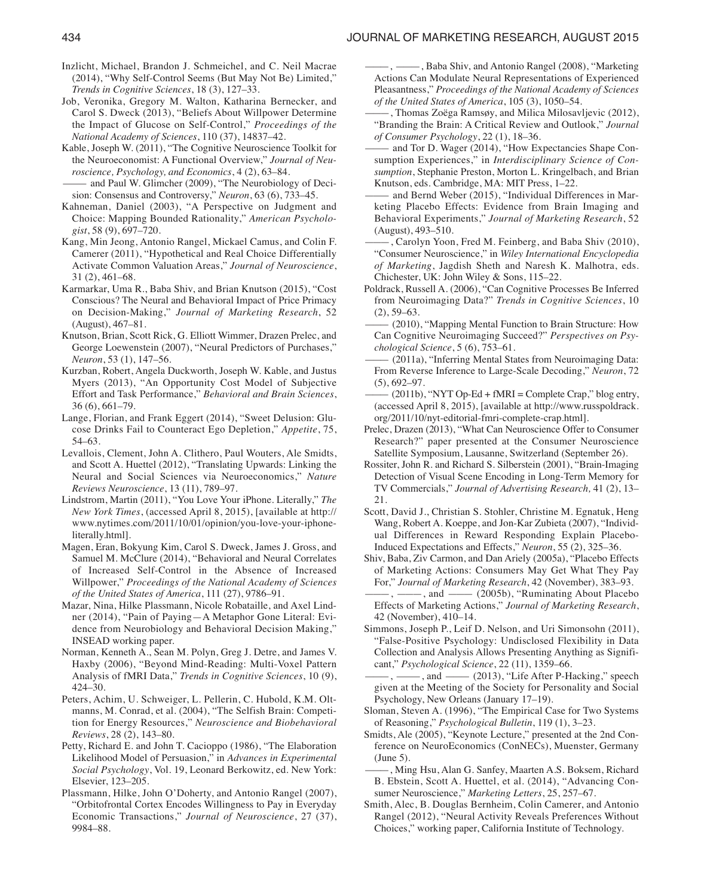- Inzlicht, Michael, Brandon J. Schmeichel, and C. Neil Macrae (2014), "Why Self-Control Seems (But May Not Be) Limited," *Trends in Cognitive Sciences*, 18 (3), 127–33.
- Job, Veronika, Gregory M. Walton, Katharina Bernecker, and Carol S. Dweck (2013), "Beliefs About Willpower Determine the Impact of Glucose on Self-Control," *Proceedings of the National Academy of Sciences*, 110 (37), 14837–42.
- Kable, Joseph W. (2011), "The Cognitive Neuroscience Toolkit for the Neuroeconomist: A Functional Overview," *Journal of Neuroscience, Psychology, and Economics*, 4 (2), 63–84.
- and Paul W. Glimcher (2009), "The Neurobiology of Decision: Consensus and Controversy," *Neuron*, 63 (6), 733–45.
- Kahneman, Daniel (2003), "A Perspective on Judgment and Choice: Mapping Bounded Rationality," *American Psychologist*, 58 (9), 697–720.
- Kang, Min Jeong, Antonio Rangel, Mickael Camus, and Colin F. Camerer (2011), "Hypothetical and Real Choice Differentially Activate Common Valuation Areas," *Journal of Neuroscience*, 31 (2), 461–68.
- Karmarkar, Uma R., Baba Shiv, and Brian Knutson (2015), "Cost Conscious? The Neural and Behavioral Impact of Price Primacy on Decision-Making," *Journal of Marketing Research*, 52 (August), 467–81.
- Knutson, Brian, Scott Rick, G. Elliott Wimmer, Drazen Prelec, and George Loewenstein (2007), "Neural Predictors of Purchases," *Neuron*, 53 (1), 147–56.
- Kurzban, Robert, Angela Duckworth, Joseph W. Kable, and Justus Myers (2013), "An Opportunity Cost Model of Subjective Effort and Task Performance," *Behavioral and Brain Sciences*, 36 (6), 661–79.
- Lange, Florian, and Frank Eggert (2014), "Sweet Delusion: Glucose Drinks Fail to Counteract Ego Depletion," *Appetite*, 75, 54–63.
- Levallois, Clement, John A. Clithero, Paul Wouters, Ale Smidts, and Scott A. Huettel (2012), "Translating Upwards: Linking the Neural and Social Sciences via Neuroeconomics," *Nature Reviews Neuroscience*, 13 (11), 789–97.
- Lindstrom, Martin (2011), "You Love Your iPhone. Literally," *The New York Times*, (accessed April 8, 2015), [available at http:// www.nytimes.com/2011/10/01/opinion/you-love-your-iphoneliterally.html].
- Magen, Eran, Bokyung Kim, Carol S. Dweck, James J. Gross, and Samuel M. McClure (2014), "Behavioral and Neural Correlates of Increased Self-Control in the Absence of Increased Willpower," *Proceedings of the National Academy of Sciences of the United States of America*, 111 (27), 9786–91.
- Mazar, Nina, Hilke Plassmann, Nicole Robataille, and Axel Lindner (2014), "Pain of Paying—A Metaphor Gone Literal: Evidence from Neurobiology and Behavioral Decision Making," INSEAD working paper.
- Norman, Kenneth A., Sean M. Polyn, Greg J. Detre, and James V. Haxby (2006), "Beyond Mind-Reading: Multi-Voxel Pattern Analysis of fMRI Data," *Trends in Cognitive Sciences*, 10 (9), 424–30.
- Peters, Achim, U. Schweiger, L. Pellerin, C. Hubold, K.M. Oltmanns, M. Conrad, et al. (2004), "The Selfish Brain: Competition for Energy Resources," *Neuroscience and Biobehavioral Reviews*, 28 (2), 143–80.
- Petty, Richard E. and John T. Cacioppo (1986), "The Elaboration Likelihood Model of Persuasion," in *Advances in Experimental Social Psychology*, Vol. 19, Leonard Berkowitz, ed. New York: Elsevier, 123–205.
- Plassmann, Hilke, John O'Doherty, and Antonio Rangel (2007), "Orbitofrontal Cortex Encodes Willingness to Pay in Everyday Economic Transactions," *Journal of Neuroscience*, 27 (37), 9984–88.
- $-$ , Baba Shiv, and Antonio Rangel (2008), "Marketing Actions Can Modulate Neural Representations of Experienced Pleasantness," *Proceedings of the National Academy of Sciences of the United States of America*, 105 (3), 1050–54.
- ———, Thomas Zoëga Ramsøy, and Milica Milosavljevic (2012), "Branding the Brain: A Critical Review and Outlook," *Journal of Consumer Psychology*, 22 (1), 18–36.
- and Tor D. Wager (2014), "How Expectancies Shape Consumption Experiences," in *Interdisciplinary Science of Consumption*, Stephanie Preston, Morton L. Kringelbach, and Brian Knutson, eds. Cambridge, MA: MIT Press, 1–22.
- and Bernd Weber (2015), "Individual Differences in Marketing Placebo Effects: Evidence from Brain Imaging and Behavioral Experiments," *Journal of Marketing Research*, 52 (August), 493–510.
- -, Carolyn Yoon, Fred M. Feinberg, and Baba Shiv (2010), "Consumer Neuroscience," in *Wiley International Encyclopedia of Marketing*, Jagdish Sheth and Naresh K. Malhotra, eds. Chichester, UK: John Wiley & Sons, 115–22.
- Poldrack, Russell A. (2006), "Can Cognitive Processes Be Inferred from Neuroimaging Data?" *Trends in Cognitive Sciences*, 10  $(2), 59-63.$
- ——— (2010), "Mapping Mental Function to Brain Structure: How Can Cognitive Neuroimaging Succeed?" *Perspectives on Psychological Science*, 5 (6), 753–61.
- (2011a), "Inferring Mental States from Neuroimaging Data: From Reverse Inference to Large-Scale Decoding," *Neuron*, 72 (5), 692–97.
- $(2011b)$ , "NYT Op-Ed + fMRI = Complete Crap," blog entry, (accessed April 8, 2015), [available at http://www.russpoldrack. org/2011/10/nyt-editorial-fmri-complete-crap.html].
- Prelec, Drazen (2013), "What Can Neuroscience Offer to Consumer Research?" paper presented at the Consumer Neuroscience Satellite Symposium, Lausanne, Switzerland (September 26).
- Rossiter, John R. and Richard S. Silberstein (2001), "Brain-Imaging Detection of Visual Scene Encoding in Long-Term Memory for TV Commercials," *Journal of Advertising Research,* 41 (2), 13– 21.
- Scott, David J., Christian S. Stohler, Christine M. Egnatuk, Heng Wang, Robert A. Koeppe, and Jon-Kar Zubieta (2007), "Individual Differences in Reward Responding Explain Placebo-Induced Expectations and Effects," *Neuron*, 55 (2), 325–36.
- Shiv, Baba, Ziv Carmon, and Dan Ariely (2005a), "Placebo Effects of Marketing Actions: Consumers May Get What They Pay For," *Journal of Marketing Research*, 42 (November), 383–93.
- $-$ ,  $-\frac{1}{2005b}$ , "Ruminating About Placebo Effects of Marketing Actions," *Journal of Marketing Research*, 42 (November), 410–14.
- Simmons, Joseph P., Leif D. Nelson, and Uri Simonsohn (2011), "False-Positive Psychology: Undisclosed Flexibility in Data Collection and Analysis Allows Presenting Anything as Significant," *Psychological Science*, 22 (11), 1359–66.
- $-$ ,  $-\frac{1}{2013}$ , "Life After P-Hacking," speech given at the Meeting of the Society for Personality and Social Psychology, New Orleans (January 17–19).
- Sloman, Steven A. (1996), "The Empirical Case for Two Systems of Reasoning," *Psychological Bulletin*, 119 (1), 3–23.
- Smidts, Ale (2005), "Keynote Lecture," presented at the 2nd Conference on NeuroEconomics (ConNECs), Muenster, Germany (June 5).
- , Ming Hsu, Alan G. Sanfey, Maarten A.S. Boksem, Richard B. Ebstein, Scott A. Huettel, et al. (2014), "Advancing Consumer Neuroscience," *Marketing Letters*, 25, 257–67.
- Smith, Alec, B. Douglas Bernheim, Colin Camerer, and Antonio Rangel (2012), "Neural Activity Reveals Preferences Without Choices," working paper, California Institute of Technology.